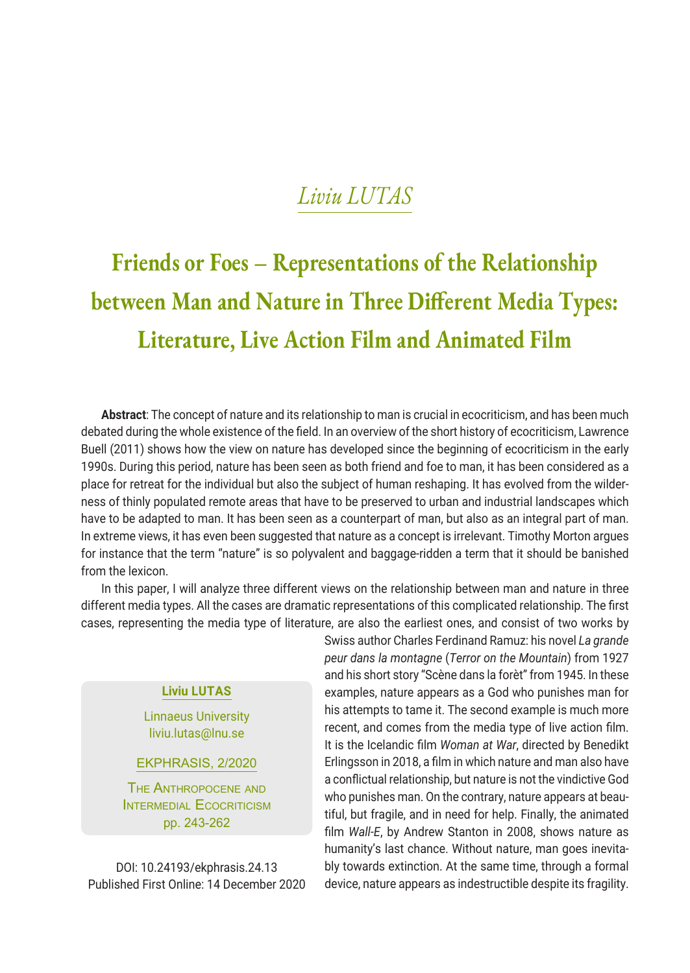# **Friends or Foes – Representations of the Relationship between Man and Nature in Three Different Media Types: Literature, Live Action Film and Animated Film**

**Abstract**: The concept of nature and its relationship to man is crucial in ecocriticism, and has been much debated during the whole existence of the field. In an overview of the short history of ecocriticism, Lawrence Buell (2011) shows how the view on nature has developed since the beginning of ecocriticism in the early 1990s. During this period, nature has been seen as both friend and foe to man, it has been considered as a place for retreat for the individual but also the subject of human reshaping. It has evolved from the wilderness of thinly populated remote areas that have to be preserved to urban and industrial landscapes which have to be adapted to man. It has been seen as a counterpart of man, but also as an integral part of man. In extreme views, it has even been suggested that nature as a concept is irrelevant. Timothy Morton argues for instance that the term "nature" is so polyvalent and baggage-ridden a term that it should be banished from the lexicon.

In this paper, I will analyze three different views on the relationship between man and nature in three different media types. All the cases are dramatic representations of this complicated relationship. The first cases, representing the media type of literature, are also the earliest ones, and consist of two works by

### **Liviu LUTAS**

Linnaeus University liviu.lutas@lnu.se

EKPHRASIS, 2/2020

The Anthropocene and INTERMEDIAL ECOCRITICISM pp. 243-262

DOI: 10.24193/ekphrasis.24.13 Published First Online: 14 December 2020 Swiss author Charles Ferdinand Ramuz: his novel *La grande peur dans la montagne* (*Terror on the Mountain*) from 1927 and his short story "Scène dans la forèt" from 1945. In these examples, nature appears as a God who punishes man for his attempts to tame it. The second example is much more recent, and comes from the media type of live action film. It is the Icelandic film *Woman at War*, directed by Benedikt Erlingsson in 2018, a film in which nature and man also have a conflictual relationship, but nature is not the vindictive God who punishes man. On the contrary, nature appears at beautiful, but fragile, and in need for help. Finally, the animated film *Wall-E*, by Andrew Stanton in 2008, shows nature as humanity's last chance. Without nature, man goes inevitably towards extinction. At the same time, through a formal device, nature appears as indestructible despite its fragility.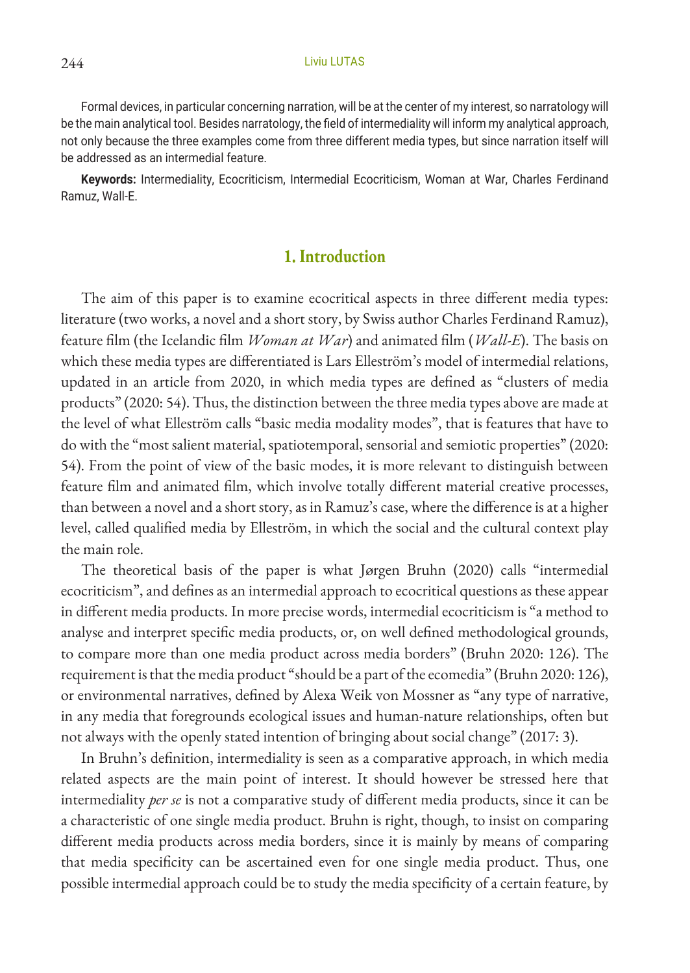Formal devices, in particular concerning narration, will be at the center of my interest, so narratology will be the main analytical tool. Besides narratology, the field of intermediality will inform my analytical approach, not only because the three examples come from three different media types, but since narration itself will be addressed as an intermedial feature.

**Keywords:** Intermediality, Ecocriticism, Intermedial Ecocriticism, Woman at War, Charles Ferdinand Ramuz, Wall-E.

# **1. Introduction**

The aim of this paper is to examine ecocritical aspects in three different media types: literature (two works, a novel and a short story, by Swiss author Charles Ferdinand Ramuz), feature film (the Icelandic film *Woman at War*) and animated film (*Wall-E*). The basis on which these media types are differentiated is Lars Elleström's model of intermedial relations, updated in an article from 2020, in which media types are defined as "clusters of media products" (2020: 54). Thus, the distinction between the three media types above are made at the level of what Elleström calls "basic media modality modes", that is features that have to do with the "most salient material, spatiotemporal, sensorial and semiotic properties" (2020: 54). From the point of view of the basic modes, it is more relevant to distinguish between feature film and animated film, which involve totally different material creative processes, than between a novel and a short story, as in Ramuz's case, where the difference is at a higher level, called qualified media by Elleström, in which the social and the cultural context play the main role.

The theoretical basis of the paper is what Jørgen Bruhn (2020) calls "intermedial ecocriticism", and defines as an intermedial approach to ecocritical questions as these appear in different media products. In more precise words, intermedial ecocriticism is "a method to analyse and interpret specific media products, or, on well defined methodological grounds, to compare more than one media product across media borders" (Bruhn 2020: 126). The requirement is that the media product "should be a part of the ecomedia" (Bruhn 2020: 126), or environmental narratives, defined by Alexa Weik von Mossner as "any type of narrative, in any media that foregrounds ecological issues and human-nature relationships, often but not always with the openly stated intention of bringing about social change" (2017: 3).

In Bruhn's definition, intermediality is seen as a comparative approach, in which media related aspects are the main point of interest. It should however be stressed here that intermediality *per se* is not a comparative study of different media products, since it can be a characteristic of one single media product. Bruhn is right, though, to insist on comparing different media products across media borders, since it is mainly by means of comparing that media specificity can be ascertained even for one single media product. Thus, one possible intermedial approach could be to study the media specificity of a certain feature, by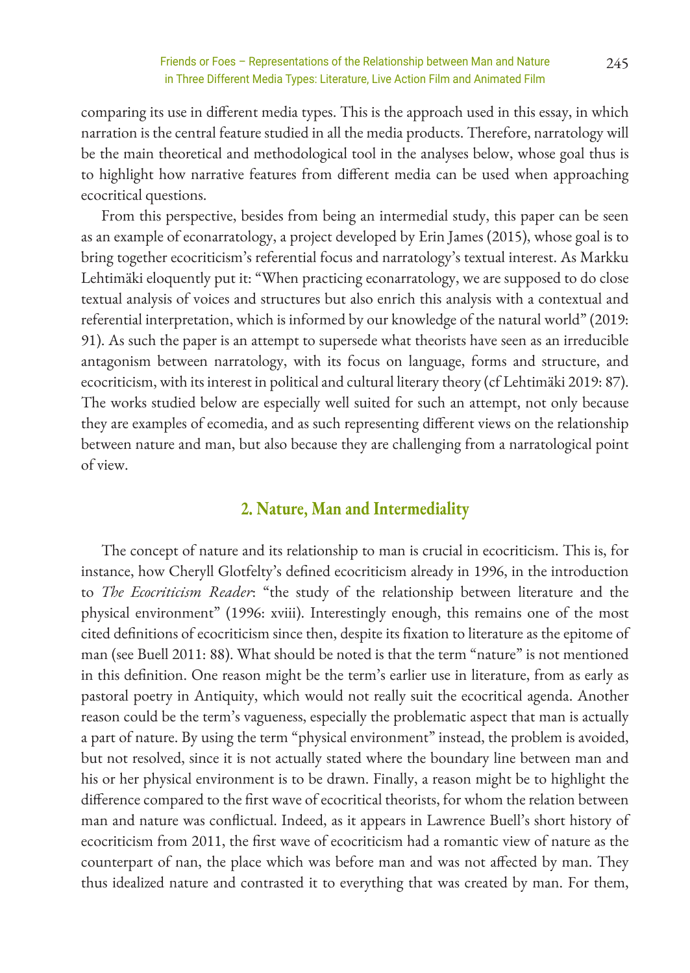comparing its use in different media types. This is the approach used in this essay, in which narration is the central feature studied in all the media products. Therefore, narratology will be the main theoretical and methodological tool in the analyses below, whose goal thus is to highlight how narrative features from different media can be used when approaching ecocritical questions.

From this perspective, besides from being an intermedial study, this paper can be seen as an example of econarratology, a project developed by Erin James (2015), whose goal is to bring together ecocriticism's referential focus and narratology's textual interest. As Markku Lehtimäki eloquently put it: "When practicing econarratology, we are supposed to do close textual analysis of voices and structures but also enrich this analysis with a contextual and referential interpretation, which is informed by our knowledge of the natural world" (2019: 91). As such the paper is an attempt to supersede what theorists have seen as an irreducible antagonism between narratology, with its focus on language, forms and structure, and ecocriticism, with its interest in political and cultural literary theory (cf Lehtimäki 2019: 87). The works studied below are especially well suited for such an attempt, not only because they are examples of ecomedia, and as such representing different views on the relationship between nature and man, but also because they are challenging from a narratological point of view.

# **2. Nature, Man and Intermediality**

The concept of nature and its relationship to man is crucial in ecocriticism. This is, for instance, how Cheryll Glotfelty's defined ecocriticism already in 1996, in the introduction to *The Ecocriticism Reader*: "the study of the relationship between literature and the physical environment" (1996: xviii). Interestingly enough, this remains one of the most cited definitions of ecocriticism since then, despite its fixation to literature as the epitome of man (see Buell 2011: 88). What should be noted is that the term "nature" is not mentioned in this definition. One reason might be the term's earlier use in literature, from as early as pastoral poetry in Antiquity, which would not really suit the ecocritical agenda. Another reason could be the term's vagueness, especially the problematic aspect that man is actually a part of nature. By using the term "physical environment" instead, the problem is avoided, but not resolved, since it is not actually stated where the boundary line between man and his or her physical environment is to be drawn. Finally, a reason might be to highlight the difference compared to the first wave of ecocritical theorists, for whom the relation between man and nature was conflictual. Indeed, as it appears in Lawrence Buell's short history of ecocriticism from 2011, the first wave of ecocriticism had a romantic view of nature as the counterpart of nan, the place which was before man and was not affected by man. They thus idealized nature and contrasted it to everything that was created by man. For them,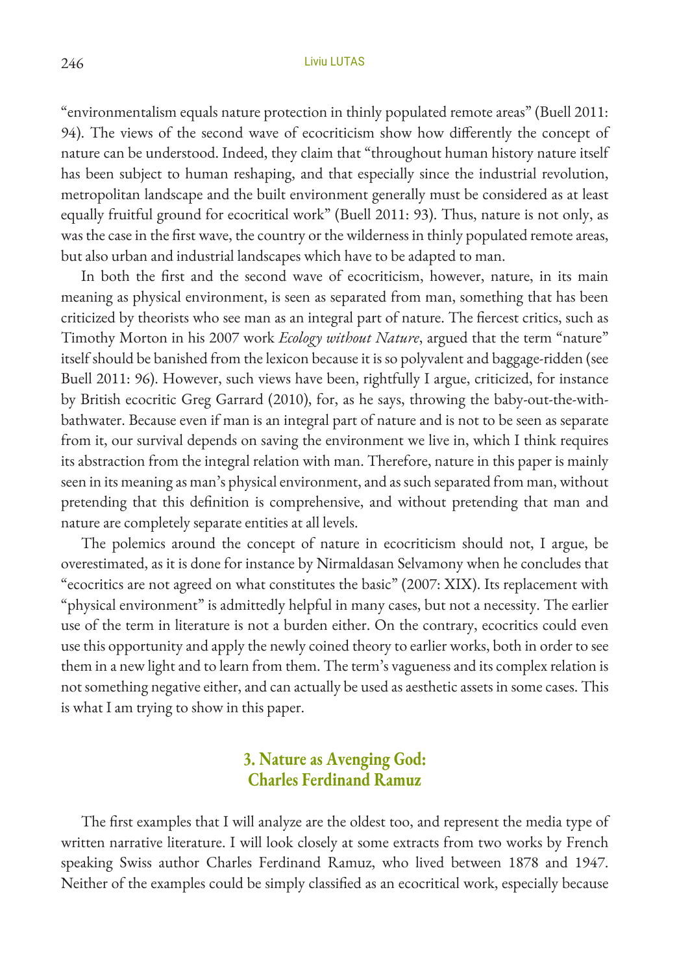"environmentalism equals nature protection in thinly populated remote areas" (Buell 2011: 94). The views of the second wave of ecocriticism show how differently the concept of nature can be understood. Indeed, they claim that "throughout human history nature itself has been subject to human reshaping, and that especially since the industrial revolution, metropolitan landscape and the built environment generally must be considered as at least equally fruitful ground for ecocritical work" (Buell 2011: 93). Thus, nature is not only, as was the case in the first wave, the country or the wilderness in thinly populated remote areas, but also urban and industrial landscapes which have to be adapted to man.

In both the first and the second wave of ecocriticism, however, nature, in its main meaning as physical environment, is seen as separated from man, something that has been criticized by theorists who see man as an integral part of nature. The fiercest critics, such as Timothy Morton in his 2007 work *Ecology without Nature*, argued that the term "nature" itself should be banished from the lexicon because it is so polyvalent and baggage-ridden (see Buell 2011: 96). However, such views have been, rightfully I argue, criticized, for instance by British ecocritic Greg Garrard (2010), for, as he says, throwing the baby-out-the-withbathwater. Because even if man is an integral part of nature and is not to be seen as separate from it, our survival depends on saving the environment we live in, which I think requires its abstraction from the integral relation with man. Therefore, nature in this paper is mainly seen in its meaning as man's physical environment, and as such separated from man, without pretending that this definition is comprehensive, and without pretending that man and nature are completely separate entities at all levels.

The polemics around the concept of nature in ecocriticism should not, I argue, be overestimated, as it is done for instance by Nirmaldasan Selvamony when he concludes that "ecocritics are not agreed on what constitutes the basic" (2007: XIX). Its replacement with "physical environment" is admittedly helpful in many cases, but not a necessity. The earlier use of the term in literature is not a burden either. On the contrary, ecocritics could even use this opportunity and apply the newly coined theory to earlier works, both in order to see them in a new light and to learn from them. The term's vagueness and its complex relation is not something negative either, and can actually be used as aesthetic assets in some cases. This is what I am trying to show in this paper.

# **3. Nature as Avenging God: Charles Ferdinand Ramuz**

The first examples that I will analyze are the oldest too, and represent the media type of written narrative literature. I will look closely at some extracts from two works by French speaking Swiss author Charles Ferdinand Ramuz, who lived between 1878 and 1947. Neither of the examples could be simply classified as an ecocritical work, especially because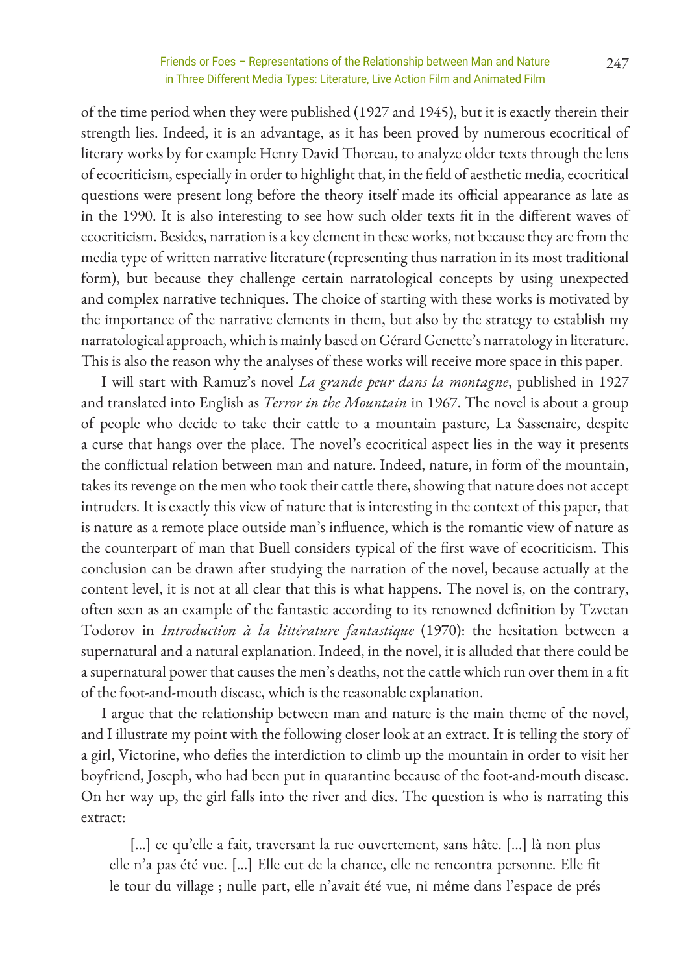of the time period when they were published (1927 and 1945), but it is exactly therein their strength lies. Indeed, it is an advantage, as it has been proved by numerous ecocritical of literary works by for example Henry David Thoreau, to analyze older texts through the lens of ecocriticism, especially in order to highlight that, in the field of aesthetic media, ecocritical questions were present long before the theory itself made its official appearance as late as in the 1990. It is also interesting to see how such older texts fit in the different waves of ecocriticism. Besides, narration is a key element in these works, not because they are from the media type of written narrative literature (representing thus narration in its most traditional form), but because they challenge certain narratological concepts by using unexpected and complex narrative techniques. The choice of starting with these works is motivated by the importance of the narrative elements in them, but also by the strategy to establish my narratological approach, which is mainly based on Gérard Genette's narratology in literature. This is also the reason why the analyses of these works will receive more space in this paper.

I will start with Ramuz's novel *La grande peur dans la montagne*, published in 1927 and translated into English as *Terror in the Mountain* in 1967. The novel is about a group of people who decide to take their cattle to a mountain pasture, La Sassenaire, despite a curse that hangs over the place. The novel's ecocritical aspect lies in the way it presents the conflictual relation between man and nature. Indeed, nature, in form of the mountain, takes its revenge on the men who took their cattle there, showing that nature does not accept intruders. It is exactly this view of nature that is interesting in the context of this paper, that is nature as a remote place outside man's influence, which is the romantic view of nature as the counterpart of man that Buell considers typical of the first wave of ecocriticism. This conclusion can be drawn after studying the narration of the novel, because actually at the content level, it is not at all clear that this is what happens. The novel is, on the contrary, often seen as an example of the fantastic according to its renowned definition by Tzvetan Todorov in *Introduction à la littérature fantastique* (1970): the hesitation between a supernatural and a natural explanation. Indeed, in the novel, it is alluded that there could be a supernatural power that causes the men's deaths, not the cattle which run over them in a fit of the foot-and-mouth disease, which is the reasonable explanation.

I argue that the relationship between man and nature is the main theme of the novel, and I illustrate my point with the following closer look at an extract. It is telling the story of a girl, Victorine, who defies the interdiction to climb up the mountain in order to visit her boyfriend, Joseph, who had been put in quarantine because of the foot-and-mouth disease. On her way up, the girl falls into the river and dies. The question is who is narrating this extract:

[…] ce qu'elle a fait, traversant la rue ouvertement, sans hâte. […] là non plus elle n'a pas été vue. […] Elle eut de la chance, elle ne rencontra personne. Elle fit le tour du village ; nulle part, elle n'avait été vue, ni même dans l'espace de prés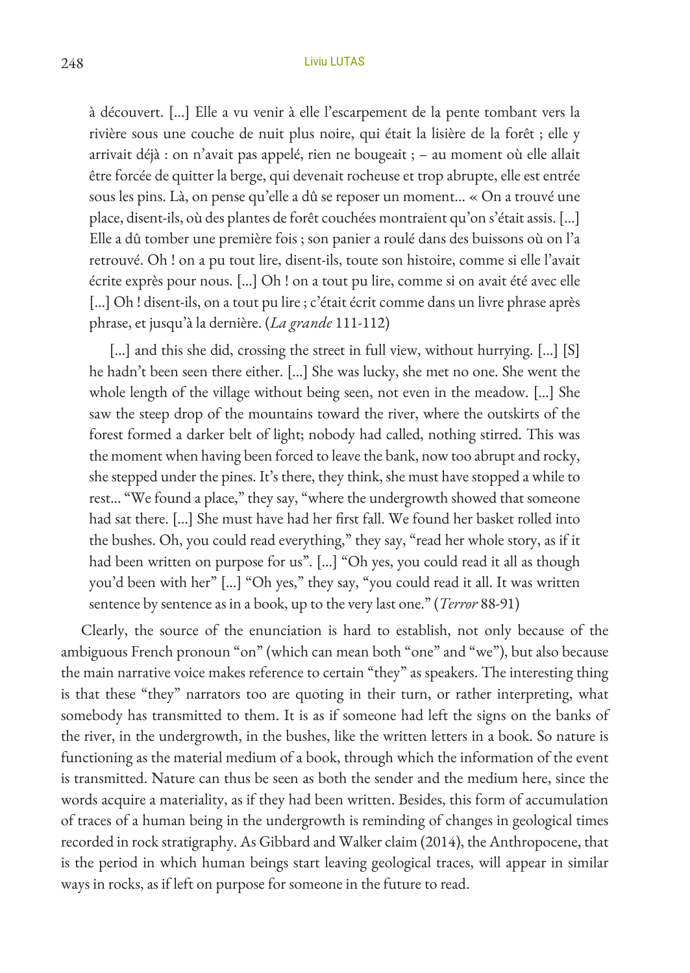à découvert. […] Elle a vu venir à elle l'escarpement de la pente tombant vers la rivière sous une couche de nuit plus noire, qui était la lisière de la forêt ; elle y arrivait déjà : on n'avait pas appelé, rien ne bougeait ; – au moment où elle allait être forcée de quitter la berge, qui devenait rocheuse et trop abrupte, elle est entrée sous les pins. Là, on pense qu'elle a dû se reposer un moment… « On a trouvé une place, disent-ils, où des plantes de forêt couchées montraient qu'on s'était assis. […] Elle a dû tomber une première fois ; son panier a roulé dans des buissons où on l'a retrouvé. Oh ! on a pu tout lire, disent-ils, toute son histoire, comme si elle l'avait écrite exprès pour nous. […] Oh ! on a tout pu lire, comme si on avait été avec elle [...] Oh ! disent-ils, on a tout pu lire ; c'était écrit comme dans un livre phrase après phrase, et jusqu'à la dernière. (*La grande* 111-112)

[...] and this she did, crossing the street in full view, without hurrying. [...] [S] he hadn't been seen there either. […] She was lucky, she met no one. She went the whole length of the village without being seen, not even in the meadow. […] She saw the steep drop of the mountains toward the river, where the outskirts of the forest formed a darker belt of light; nobody had called, nothing stirred. This was the moment when having been forced to leave the bank, now too abrupt and rocky, she stepped under the pines. It's there, they think, she must have stopped a while to rest… "We found a place," they say, "where the undergrowth showed that someone had sat there. […] She must have had her first fall. We found her basket rolled into the bushes. Oh, you could read everything," they say, "read her whole story, as if it had been written on purpose for us". [...] "Oh yes, you could read it all as though you'd been with her" […] "Oh yes," they say, "you could read it all. It was written sentence by sentence as in a book, up to the very last one." (*Terror* 88-91)

Clearly, the source of the enunciation is hard to establish, not only because of the ambiguous French pronoun "on" (which can mean both "one" and "we"), but also because the main narrative voice makes reference to certain "they" as speakers. The interesting thing is that these "they" narrators too are quoting in their turn, or rather interpreting, what somebody has transmitted to them. It is as if someone had left the signs on the banks of the river, in the undergrowth, in the bushes, like the written letters in a book. So nature is functioning as the material medium of a book, through which the information of the event is transmitted. Nature can thus be seen as both the sender and the medium here, since the words acquire a materiality, as if they had been written. Besides, this form of accumulation of traces of a human being in the undergrowth is reminding of changes in geological times recorded in rock stratigraphy. As Gibbard and Walker claim (2014), the Anthropocene, that is the period in which human beings start leaving geological traces, will appear in similar ways in rocks, as if left on purpose for someone in the future to read.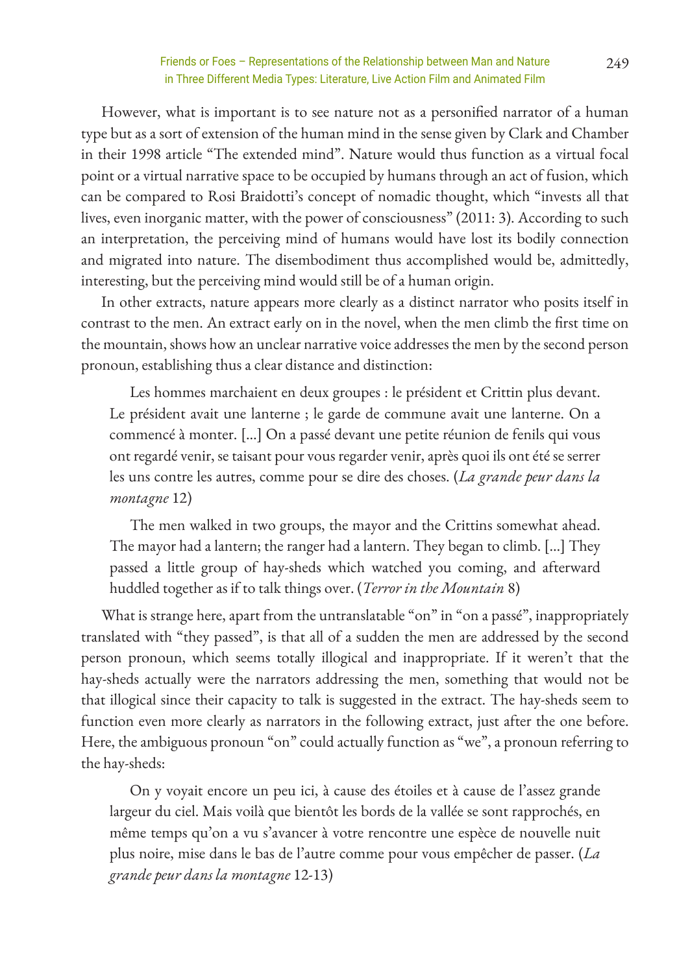However, what is important is to see nature not as a personified narrator of a human type but as a sort of extension of the human mind in the sense given by Clark and Chamber in their 1998 article "The extended mind". Nature would thus function as a virtual focal point or a virtual narrative space to be occupied by humans through an act of fusion, which can be compared to Rosi Braidotti's concept of nomadic thought, which "invests all that lives, even inorganic matter, with the power of consciousness" (2011: 3). According to such an interpretation, the perceiving mind of humans would have lost its bodily connection and migrated into nature. The disembodiment thus accomplished would be, admittedly, interesting, but the perceiving mind would still be of a human origin.

In other extracts, nature appears more clearly as a distinct narrator who posits itself in contrast to the men. An extract early on in the novel, when the men climb the first time on the mountain, shows how an unclear narrative voice addresses the men by the second person pronoun, establishing thus a clear distance and distinction:

Les hommes marchaient en deux groupes : le président et Crittin plus devant. Le président avait une lanterne ; le garde de commune avait une lanterne. On a commencé à monter. […] On a passé devant une petite réunion de fenils qui vous ont regardé venir, se taisant pour vous regarder venir, après quoi ils ont été se serrer les uns contre les autres, comme pour se dire des choses. (*La grande peur dans la montagne* 12)

The men walked in two groups, the mayor and the Crittins somewhat ahead. The mayor had a lantern; the ranger had a lantern. They began to climb. […] They passed a little group of hay-sheds which watched you coming, and afterward huddled together as if to talk things over. (*Terror in the Mountain* 8)

What is strange here, apart from the untranslatable "on" in "on a passé", inappropriately translated with "they passed", is that all of a sudden the men are addressed by the second person pronoun, which seems totally illogical and inappropriate. If it weren't that the hay-sheds actually were the narrators addressing the men, something that would not be that illogical since their capacity to talk is suggested in the extract. The hay-sheds seem to function even more clearly as narrators in the following extract, just after the one before. Here, the ambiguous pronoun "on" could actually function as "we", a pronoun referring to the hay-sheds:

On y voyait encore un peu ici, à cause des étoiles et à cause de l'assez grande largeur du ciel. Mais voilà que bientôt les bords de la vallée se sont rapprochés, en même temps qu'on a vu s'avancer à votre rencontre une espèce de nouvelle nuit plus noire, mise dans le bas de l'autre comme pour vous empêcher de passer. (*La grande peur dans la montagne* 12-13)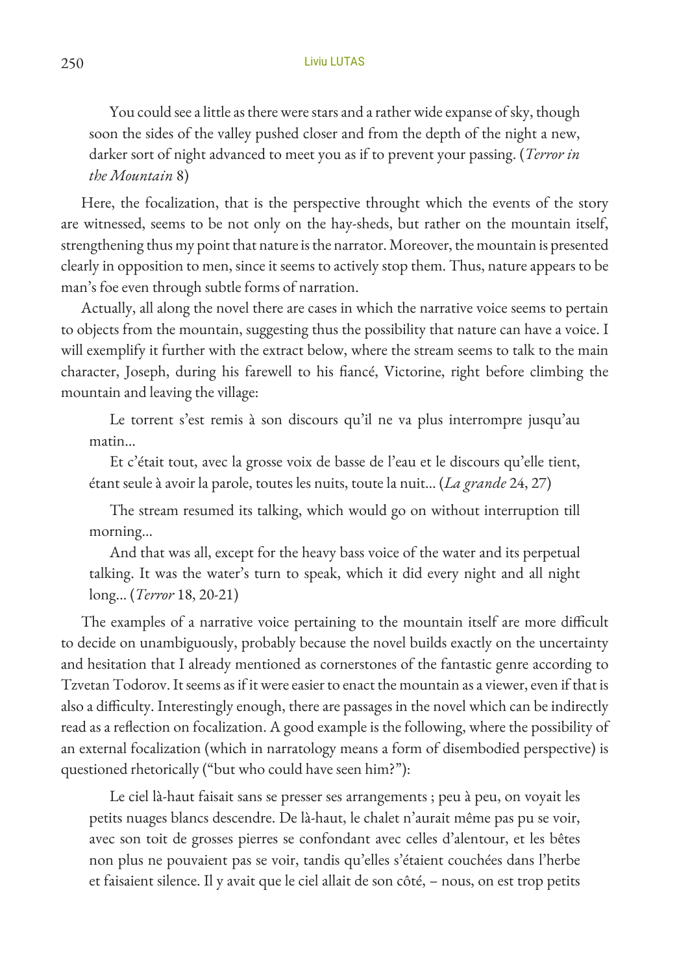You could see a little as there were stars and a rather wide expanse of sky, though soon the sides of the valley pushed closer and from the depth of the night a new, darker sort of night advanced to meet you as if to prevent your passing. (*Terror in the Mountain* 8)

Here, the focalization, that is the perspective throught which the events of the story are witnessed, seems to be not only on the hay-sheds, but rather on the mountain itself, strengthening thus my point that nature is the narrator. Moreover, the mountain is presented clearly in opposition to men, since it seems to actively stop them. Thus, nature appears to be man's foe even through subtle forms of narration.

Actually, all along the novel there are cases in which the narrative voice seems to pertain to objects from the mountain, suggesting thus the possibility that nature can have a voice. I will exemplify it further with the extract below, where the stream seems to talk to the main character, Joseph, during his farewell to his fiancé, Victorine, right before climbing the mountain and leaving the village:

Le torrent s'est remis à son discours qu'il ne va plus interrompre jusqu'au matin…

Et c'était tout, avec la grosse voix de basse de l'eau et le discours qu'elle tient, étant seule à avoir la parole, toutes les nuits, toute la nuit… (*La grande* 24, 27)

The stream resumed its talking, which would go on without interruption till morning...

And that was all, except for the heavy bass voice of the water and its perpetual talking. It was the water's turn to speak, which it did every night and all night long... (*Terror* 18, 20-21)

The examples of a narrative voice pertaining to the mountain itself are more difficult to decide on unambiguously, probably because the novel builds exactly on the uncertainty and hesitation that I already mentioned as cornerstones of the fantastic genre according to Tzvetan Todorov. It seems as if it were easier to enact the mountain as a viewer, even if that is also a difficulty. Interestingly enough, there are passages in the novel which can be indirectly read as a reflection on focalization. A good example is the following, where the possibility of an external focalization (which in narratology means a form of disembodied perspective) is questioned rhetorically ("but who could have seen him?"):

Le ciel là-haut faisait sans se presser ses arrangements ; peu à peu, on voyait les petits nuages blancs descendre. De là-haut, le chalet n'aurait même pas pu se voir, avec son toit de grosses pierres se confondant avec celles d'alentour, et les bêtes non plus ne pouvaient pas se voir, tandis qu'elles s'étaient couchées dans l'herbe et faisaient silence. Il y avait que le ciel allait de son côté, – nous, on est trop petits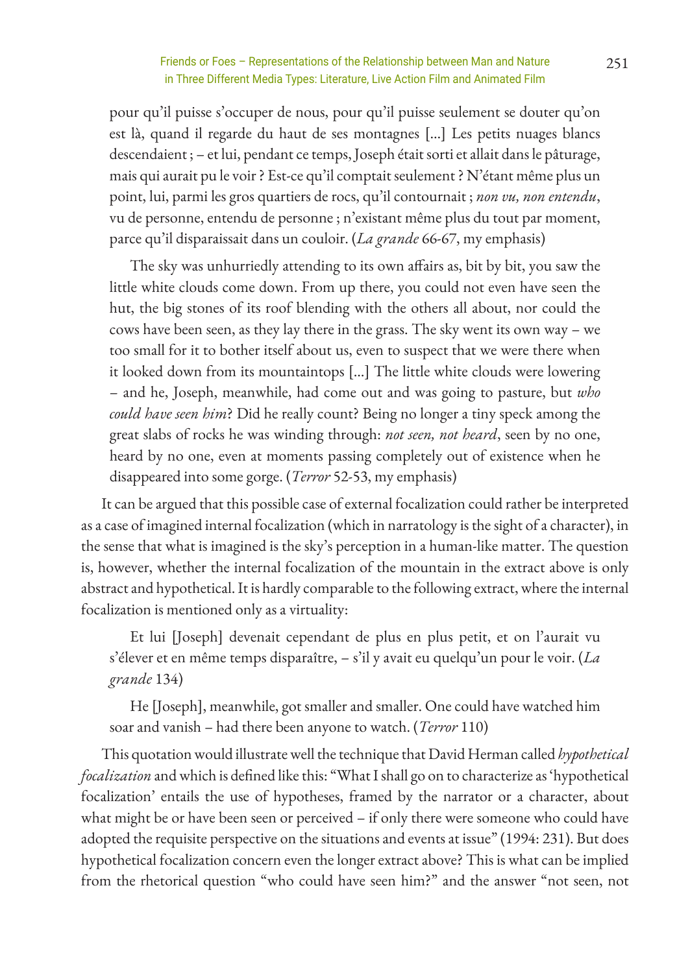#### Friends or Foes – Representations of the Relationship between Man and Nature 251 in Three Different Media Types: Literature, Live Action Film and Animated Film

pour qu'il puisse s'occuper de nous, pour qu'il puisse seulement se douter qu'on est là, quand il regarde du haut de ses montagnes […] Les petits nuages blancs descendaient ; – et lui, pendant ce temps, Joseph était sorti et allait dans le pâturage, mais qui aurait pu le voir ? Est-ce qu'il comptait seulement ? N'étant même plus un point, lui, parmi les gros quartiers de rocs, qu'il contournait ; *non vu, non entendu*, vu de personne, entendu de personne ; n'existant même plus du tout par moment, parce qu'il disparaissait dans un couloir. (*La grande* 66-67, my emphasis)

The sky was unhurriedly attending to its own affairs as, bit by bit, you saw the little white clouds come down. From up there, you could not even have seen the hut, the big stones of its roof blending with the others all about, nor could the cows have been seen, as they lay there in the grass. The sky went its own way – we too small for it to bother itself about us, even to suspect that we were there when it looked down from its mountaintops […] The little white clouds were lowering – and he, Joseph, meanwhile, had come out and was going to pasture, but *who could have seen him*? Did he really count? Being no longer a tiny speck among the great slabs of rocks he was winding through: *not seen, not heard*, seen by no one, heard by no one, even at moments passing completely out of existence when he disappeared into some gorge. (*Terror* 52-53, my emphasis)

It can be argued that this possible case of external focalization could rather be interpreted as a case of imagined internal focalization (which in narratology is the sight of a character), in the sense that what is imagined is the sky's perception in a human-like matter. The question is, however, whether the internal focalization of the mountain in the extract above is only abstract and hypothetical. It is hardly comparable to the following extract, where the internal focalization is mentioned only as a virtuality:

Et lui [Joseph] devenait cependant de plus en plus petit, et on l'aurait vu s'élever et en même temps disparaître, – s'il y avait eu quelqu'un pour le voir. (*La grande* 134)

He [Joseph], meanwhile, got smaller and smaller. One could have watched him soar and vanish – had there been anyone to watch. (*Terror* 110)

This quotation would illustrate well the technique that David Herman called *hypothetical focalization* and which is defined like this: "What I shall go on to characterize as 'hypothetical focalization' entails the use of hypotheses, framed by the narrator or a character, about what might be or have been seen or perceived – if only there were someone who could have adopted the requisite perspective on the situations and events at issue" (1994: 231). But does hypothetical focalization concern even the longer extract above? This is what can be implied from the rhetorical question "who could have seen him?" and the answer "not seen, not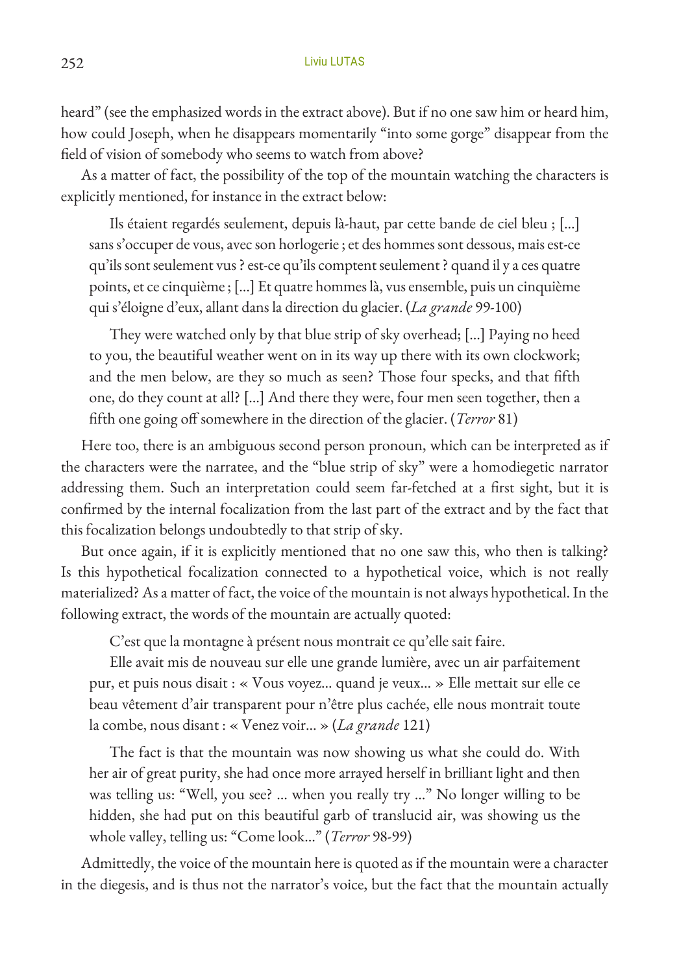heard" (see the emphasized words in the extract above). But if no one saw him or heard him, how could Joseph, when he disappears momentarily "into some gorge" disappear from the field of vision of somebody who seems to watch from above?

As a matter of fact, the possibility of the top of the mountain watching the characters is explicitly mentioned, for instance in the extract below:

Ils étaient regardés seulement, depuis là-haut, par cette bande de ciel bleu ; […] sans s'occuper de vous, avec son horlogerie ; et des hommes sont dessous, mais est-ce qu'ils sont seulement vus ? est-ce qu'ils comptent seulement ? quand il y a ces quatre points, et ce cinquième ; […] Et quatre hommes là, vus ensemble, puis un cinquième qui s'éloigne d'eux, allant dans la direction du glacier. (*La grande* 99-100)

They were watched only by that blue strip of sky overhead; […] Paying no heed to you, the beautiful weather went on in its way up there with its own clockwork; and the men below, are they so much as seen? Those four specks, and that fifth one, do they count at all? […] And there they were, four men seen together, then a fifth one going off somewhere in the direction of the glacier. (*Terror* 81)

Here too, there is an ambiguous second person pronoun, which can be interpreted as if the characters were the narratee, and the "blue strip of sky" were a homodiegetic narrator addressing them. Such an interpretation could seem far-fetched at a first sight, but it is confirmed by the internal focalization from the last part of the extract and by the fact that this focalization belongs undoubtedly to that strip of sky.

But once again, if it is explicitly mentioned that no one saw this, who then is talking? Is this hypothetical focalization connected to a hypothetical voice, which is not really materialized? As a matter of fact, the voice of the mountain is not always hypothetical. In the following extract, the words of the mountain are actually quoted:

C'est que la montagne à présent nous montrait ce qu'elle sait faire.

Elle avait mis de nouveau sur elle une grande lumière, avec un air parfaitement pur, et puis nous disait : « Vous voyez… quand je veux… » Elle mettait sur elle ce beau vêtement d'air transparent pour n'être plus cachée, elle nous montrait toute la combe, nous disant : « Venez voir… » (*La grande* 121)

The fact is that the mountain was now showing us what she could do. With her air of great purity, she had once more arrayed herself in brilliant light and then was telling us: "Well, you see? … when you really try …" No longer willing to be hidden, she had put on this beautiful garb of translucid air, was showing us the whole valley, telling us: "Come look…" (*Terror* 98-99)

Admittedly, the voice of the mountain here is quoted as if the mountain were a character in the diegesis, and is thus not the narrator's voice, but the fact that the mountain actually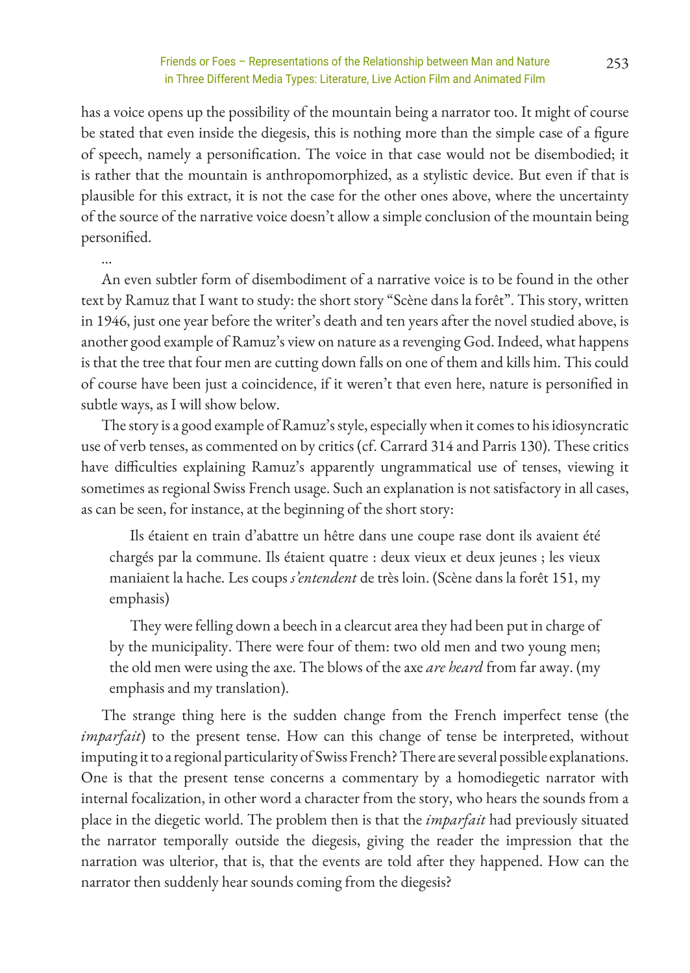#### Friends or Foes – Representations of the Relationship between Man and Nature 253 in Three Different Media Types: Literature, Live Action Film and Animated Film

has a voice opens up the possibility of the mountain being a narrator too. It might of course be stated that even inside the diegesis, this is nothing more than the simple case of a figure of speech, namely a personification. The voice in that case would not be disembodied; it is rather that the mountain is anthropomorphized, as a stylistic device. But even if that is plausible for this extract, it is not the case for the other ones above, where the uncertainty of the source of the narrative voice doesn't allow a simple conclusion of the mountain being personified.

An even subtler form of disembodiment of a narrative voice is to be found in the other text by Ramuz that I want to study: the short story "Scène dans la forêt". This story, written in 1946, just one year before the writer's death and ten years after the novel studied above, is another good example of Ramuz's view on nature as a revenging God. Indeed, what happens is that the tree that four men are cutting down falls on one of them and kills him. This could of course have been just a coincidence, if it weren't that even here, nature is personified in subtle ways, as I will show below.

…

The story is a good example of Ramuz's style, especially when it comes to his idiosyncratic use of verb tenses, as commented on by critics (cf. Carrard 314 and Parris 130). These critics have difficulties explaining Ramuz's apparently ungrammatical use of tenses, viewing it sometimes as regional Swiss French usage. Such an explanation is not satisfactory in all cases, as can be seen, for instance, at the beginning of the short story:

Ils étaient en train d'abattre un hêtre dans une coupe rase dont ils avaient été chargés par la commune. Ils étaient quatre : deux vieux et deux jeunes ; les vieux maniaient la hache. Les coups *s'entendent* de très loin. (Scène dans la forêt 151, my emphasis)

They were felling down a beech in a clearcut area they had been put in charge of by the municipality. There were four of them: two old men and two young men; the old men were using the axe. The blows of the axe *are heard* from far away. (my emphasis and my translation).

The strange thing here is the sudden change from the French imperfect tense (the *imparfait*) to the present tense. How can this change of tense be interpreted, without imputing it to a regional particularity of Swiss French? There are several possible explanations. One is that the present tense concerns a commentary by a homodiegetic narrator with internal focalization, in other word a character from the story, who hears the sounds from a place in the diegetic world. The problem then is that the *imparfait* had previously situated the narrator temporally outside the diegesis, giving the reader the impression that the narration was ulterior, that is, that the events are told after they happened. How can the narrator then suddenly hear sounds coming from the diegesis?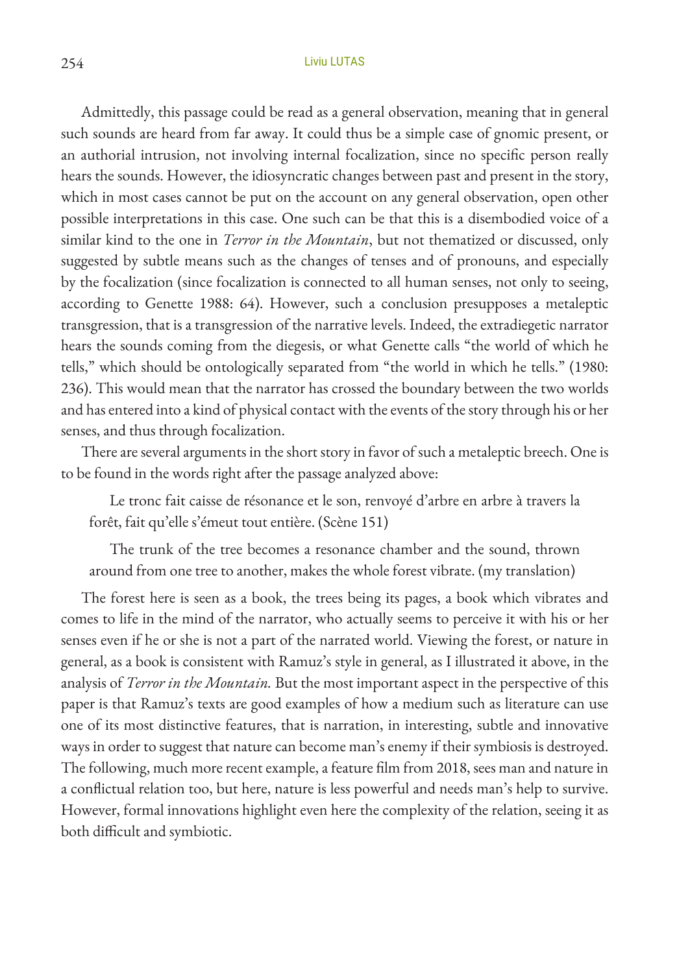Admittedly, this passage could be read as a general observation, meaning that in general such sounds are heard from far away. It could thus be a simple case of gnomic present, or an authorial intrusion, not involving internal focalization, since no specific person really hears the sounds. However, the idiosyncratic changes between past and present in the story, which in most cases cannot be put on the account on any general observation, open other possible interpretations in this case. One such can be that this is a disembodied voice of a similar kind to the one in *Terror in the Mountain*, but not thematized or discussed, only suggested by subtle means such as the changes of tenses and of pronouns, and especially by the focalization (since focalization is connected to all human senses, not only to seeing, according to Genette 1988: 64). However, such a conclusion presupposes a metaleptic transgression, that is a transgression of the narrative levels. Indeed, the extradiegetic narrator hears the sounds coming from the diegesis, or what Genette calls "the world of which he tells," which should be ontologically separated from "the world in which he tells." (1980: 236). This would mean that the narrator has crossed the boundary between the two worlds and has entered into a kind of physical contact with the events of the story through his or her senses, and thus through focalization.

There are several arguments in the short story in favor of such a metaleptic breech. One is to be found in the words right after the passage analyzed above:

Le tronc fait caisse de résonance et le son, renvoyé d'arbre en arbre à travers la forêt, fait qu'elle s'émeut tout entière. (Scène 151)

The trunk of the tree becomes a resonance chamber and the sound, thrown around from one tree to another, makes the whole forest vibrate. (my translation)

The forest here is seen as a book, the trees being its pages, a book which vibrates and comes to life in the mind of the narrator, who actually seems to perceive it with his or her senses even if he or she is not a part of the narrated world. Viewing the forest, or nature in general, as a book is consistent with Ramuz's style in general, as I illustrated it above, in the analysis of *Terror in the Mountain.* But the most important aspect in the perspective of this paper is that Ramuz's texts are good examples of how a medium such as literature can use one of its most distinctive features, that is narration, in interesting, subtle and innovative ways in order to suggest that nature can become man's enemy if their symbiosis is destroyed. The following, much more recent example, a feature film from 2018, sees man and nature in a conflictual relation too, but here, nature is less powerful and needs man's help to survive. However, formal innovations highlight even here the complexity of the relation, seeing it as both difficult and symbiotic.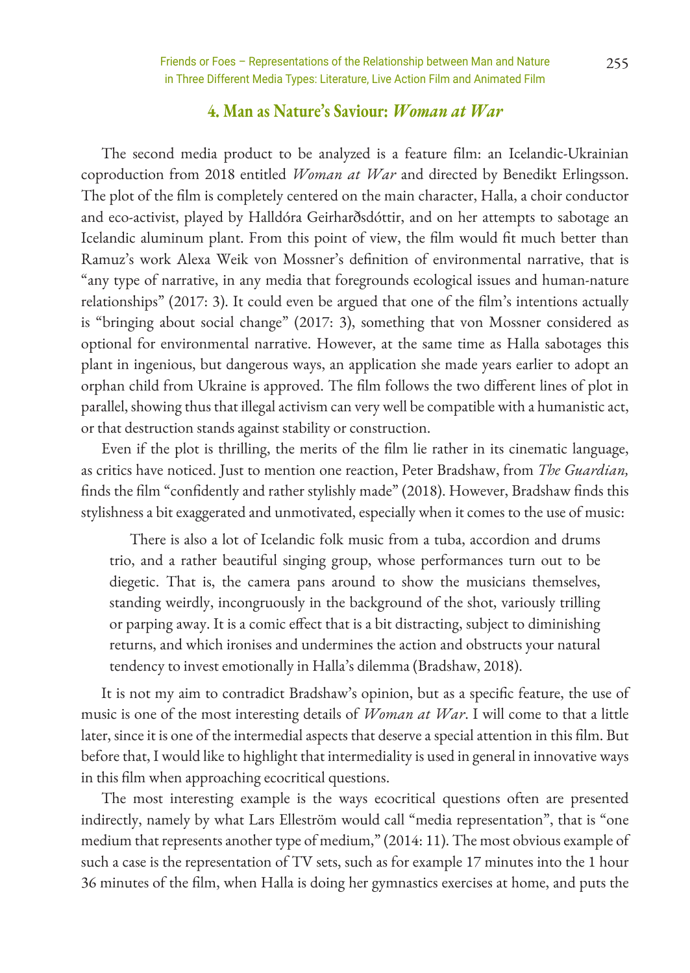# **4. Man as Nature's Saviour:** *Woman at War*

The second media product to be analyzed is a feature film: an Icelandic-Ukrainian coproduction from 2018 entitled *Woman at War* and directed by Benedikt Erlingsson. The plot of the film is completely centered on the main character, Halla, a choir conductor and eco-activist, played by Halldóra Geirharðsdóttir, and on her attempts to sabotage an Icelandic aluminum plant. From this point of view, the film would fit much better than Ramuz's work Alexa Weik von Mossner's definition of environmental narrative, that is "any type of narrative, in any media that foregrounds ecological issues and human-nature relationships" (2017: 3). It could even be argued that one of the film's intentions actually is "bringing about social change" (2017: 3), something that von Mossner considered as optional for environmental narrative. However, at the same time as Halla sabotages this plant in ingenious, but dangerous ways, an application she made years earlier to adopt an orphan child from Ukraine is approved. The film follows the two different lines of plot in parallel, showing thus that illegal activism can very well be compatible with a humanistic act, or that destruction stands against stability or construction.

Even if the plot is thrilling, the merits of the film lie rather in its cinematic language, as critics have noticed. Just to mention one reaction, Peter Bradshaw, from *The Guardian,* finds the film "confidently and rather stylishly made" (2018). However, Bradshaw finds this stylishness a bit exaggerated and unmotivated, especially when it comes to the use of music:

There is also a lot of Icelandic folk music from a tuba, accordion and drums trio, and a rather beautiful singing group, whose performances turn out to be diegetic. That is, the camera pans around to show the musicians themselves, standing weirdly, incongruously in the background of the shot, variously trilling or parping away. It is a comic effect that is a bit distracting, subject to diminishing returns, and which ironises and undermines the action and obstructs your natural tendency to invest emotionally in Halla's dilemma (Bradshaw, 2018).

It is not my aim to contradict Bradshaw's opinion, but as a specific feature, the use of music is one of the most interesting details of *Woman at War*. I will come to that a little later, since it is one of the intermedial aspects that deserve a special attention in this film. But before that, I would like to highlight that intermediality is used in general in innovative ways in this film when approaching ecocritical questions.

The most interesting example is the ways ecocritical questions often are presented indirectly, namely by what Lars Elleström would call "media representation", that is "one medium that represents another type of medium," (2014: 11). The most obvious example of such a case is the representation of TV sets, such as for example 17 minutes into the 1 hour 36 minutes of the film, when Halla is doing her gymnastics exercises at home, and puts the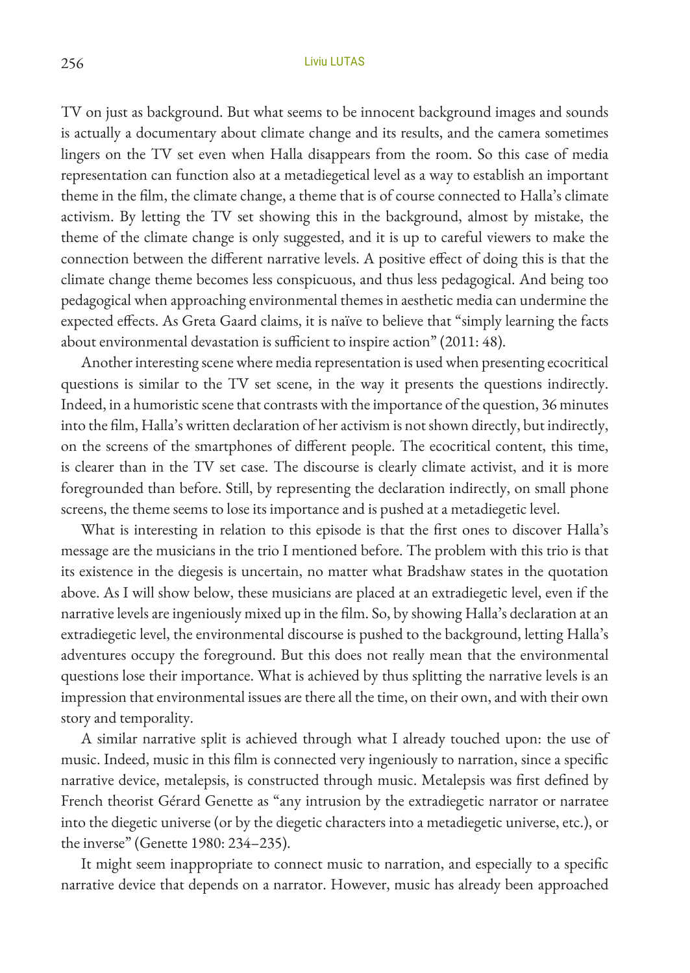TV on just as background. But what seems to be innocent background images and sounds is actually a documentary about climate change and its results, and the camera sometimes lingers on the TV set even when Halla disappears from the room. So this case of media representation can function also at a metadiegetical level as a way to establish an important theme in the film, the climate change, a theme that is of course connected to Halla's climate activism. By letting the TV set showing this in the background, almost by mistake, the theme of the climate change is only suggested, and it is up to careful viewers to make the connection between the different narrative levels. A positive effect of doing this is that the climate change theme becomes less conspicuous, and thus less pedagogical. And being too pedagogical when approaching environmental themes in aesthetic media can undermine the expected effects. As Greta Gaard claims, it is naïve to believe that "simply learning the facts about environmental devastation is sufficient to inspire action" (2011: 48).

Another interesting scene where media representation is used when presenting ecocritical questions is similar to the TV set scene, in the way it presents the questions indirectly. Indeed, in a humoristic scene that contrasts with the importance of the question, 36 minutes into the film, Halla's written declaration of her activism is not shown directly, but indirectly, on the screens of the smartphones of different people. The ecocritical content, this time, is clearer than in the TV set case. The discourse is clearly climate activist, and it is more foregrounded than before. Still, by representing the declaration indirectly, on small phone screens, the theme seems to lose its importance and is pushed at a metadiegetic level.

What is interesting in relation to this episode is that the first ones to discover Halla's message are the musicians in the trio I mentioned before. The problem with this trio is that its existence in the diegesis is uncertain, no matter what Bradshaw states in the quotation above. As I will show below, these musicians are placed at an extradiegetic level, even if the narrative levels are ingeniously mixed up in the film. So, by showing Halla's declaration at an extradiegetic level, the environmental discourse is pushed to the background, letting Halla's adventures occupy the foreground. But this does not really mean that the environmental questions lose their importance. What is achieved by thus splitting the narrative levels is an impression that environmental issues are there all the time, on their own, and with their own story and temporality.

A similar narrative split is achieved through what I already touched upon: the use of music. Indeed, music in this film is connected very ingeniously to narration, since a specific narrative device, metalepsis, is constructed through music. Metalepsis was first defined by French theorist Gérard Genette as "any intrusion by the extradiegetic narrator or narratee into the diegetic universe (or by the diegetic characters into a metadiegetic universe, etc.), or the inverse" (Genette 1980: 234–235).

It might seem inappropriate to connect music to narration, and especially to a specific narrative device that depends on a narrator. However, music has already been approached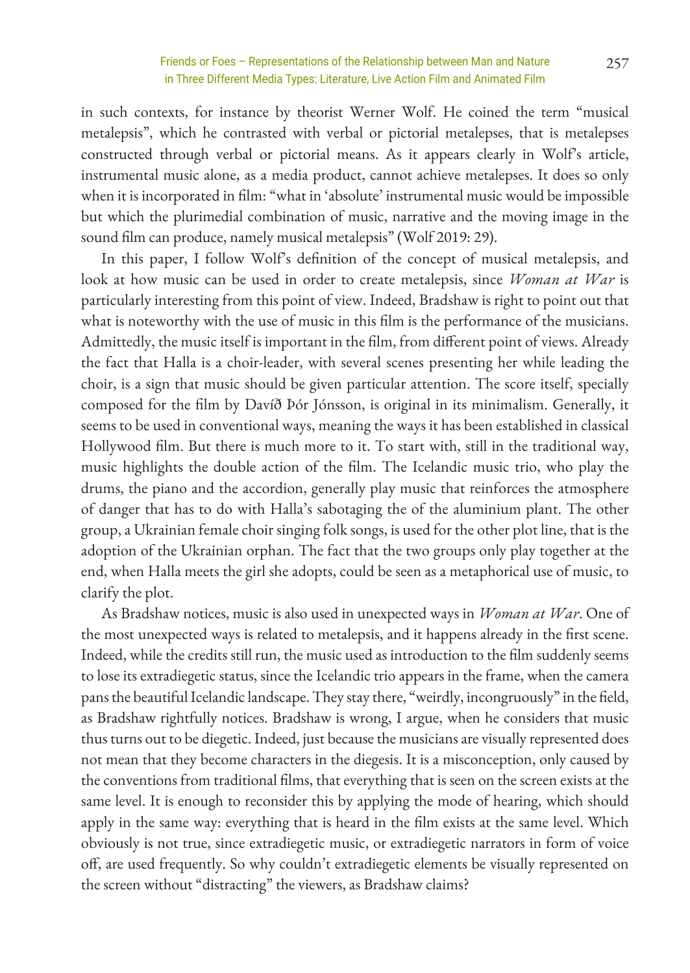in such contexts, for instance by theorist Werner Wolf. He coined the term "musical metalepsis", which he contrasted with verbal or pictorial metalepses, that is metalepses constructed through verbal or pictorial means. As it appears clearly in Wolf's article, instrumental music alone, as a media product, cannot achieve metalepses. It does so only when it is incorporated in film: "what in 'absolute' instrumental music would be impossible but which the plurimedial combination of music, narrative and the moving image in the sound film can produce, namely musical metalepsis" (Wolf 2019: 29).

In this paper, I follow Wolf's definition of the concept of musical metalepsis, and look at how music can be used in order to create metalepsis, since *Woman at War* is particularly interesting from this point of view. Indeed, Bradshaw is right to point out that what is noteworthy with the use of music in this film is the performance of the musicians. Admittedly, the music itself is important in the film, from different point of views. Already the fact that Halla is a choir-leader, with several scenes presenting her while leading the choir, is a sign that music should be given particular attention. The score itself, specially composed for the film by Davíð Þór Jónsson, is original in its minimalism. Generally, it seems to be used in conventional ways, meaning the ways it has been established in classical Hollywood film. But there is much more to it. To start with, still in the traditional way, music highlights the double action of the film. The Icelandic music trio, who play the drums, the piano and the accordion, generally play music that reinforces the atmosphere of danger that has to do with Halla's sabotaging the of the aluminium plant. The other group, a Ukrainian female choir singing folk songs, is used for the other plot line, that is the adoption of the Ukrainian orphan. The fact that the two groups only play together at the end, when Halla meets the girl she adopts, could be seen as a metaphorical use of music, to clarify the plot.

As Bradshaw notices, music is also used in unexpected ways in *Woman at War*. One of the most unexpected ways is related to metalepsis, and it happens already in the first scene. Indeed, while the credits still run, the music used as introduction to the film suddenly seems to lose its extradiegetic status, since the Icelandic trio appears in the frame, when the camera pans the beautiful Icelandic landscape. They stay there, "weirdly, incongruously" in the field, as Bradshaw rightfully notices. Bradshaw is wrong, I argue, when he considers that music thus turns out to be diegetic. Indeed, just because the musicians are visually represented does not mean that they become characters in the diegesis. It is a misconception, only caused by the conventions from traditional films, that everything that is seen on the screen exists at the same level. It is enough to reconsider this by applying the mode of hearing, which should apply in the same way: everything that is heard in the film exists at the same level. Which obviously is not true, since extradiegetic music, or extradiegetic narrators in form of voice off, are used frequently. So why couldn't extradiegetic elements be visually represented on the screen without "distracting" the viewers, as Bradshaw claims?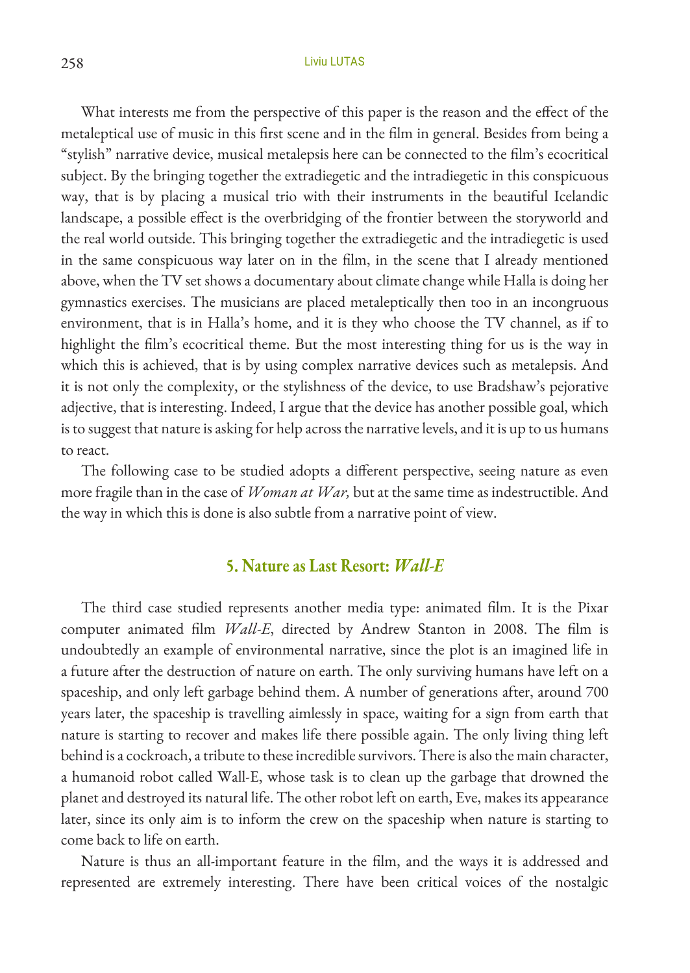What interests me from the perspective of this paper is the reason and the effect of the metaleptical use of music in this first scene and in the film in general. Besides from being a "stylish" narrative device, musical metalepsis here can be connected to the film's ecocritical subject. By the bringing together the extradiegetic and the intradiegetic in this conspicuous way, that is by placing a musical trio with their instruments in the beautiful Icelandic landscape, a possible effect is the overbridging of the frontier between the storyworld and the real world outside. This bringing together the extradiegetic and the intradiegetic is used in the same conspicuous way later on in the film, in the scene that I already mentioned above, when the TV set shows a documentary about climate change while Halla is doing her gymnastics exercises. The musicians are placed metaleptically then too in an incongruous environment, that is in Halla's home, and it is they who choose the TV channel, as if to highlight the film's ecocritical theme. But the most interesting thing for us is the way in which this is achieved, that is by using complex narrative devices such as metalepsis. And it is not only the complexity, or the stylishness of the device, to use Bradshaw's pejorative adjective, that is interesting. Indeed, I argue that the device has another possible goal, which is to suggest that nature is asking for help across the narrative levels, and it is up to us humans to react.

The following case to be studied adopts a different perspective, seeing nature as even more fragile than in the case of *Woman at War,* but at the same time as indestructible. And the way in which this is done is also subtle from a narrative point of view.

# **5. Nature as Last Resort:** *Wall-E*

The third case studied represents another media type: animated film. It is the Pixar computer animated film *Wall-E*, directed by Andrew Stanton in 2008. The film is undoubtedly an example of environmental narrative, since the plot is an imagined life in a future after the destruction of nature on earth. The only surviving humans have left on a spaceship, and only left garbage behind them. A number of generations after, around 700 years later, the spaceship is travelling aimlessly in space, waiting for a sign from earth that nature is starting to recover and makes life there possible again. The only living thing left behind is a cockroach, a tribute to these incredible survivors. There is also the main character, a humanoid robot called Wall-E, whose task is to clean up the garbage that drowned the planet and destroyed its natural life. The other robot left on earth, Eve, makes its appearance later, since its only aim is to inform the crew on the spaceship when nature is starting to come back to life on earth.

Nature is thus an all-important feature in the film, and the ways it is addressed and represented are extremely interesting. There have been critical voices of the nostalgic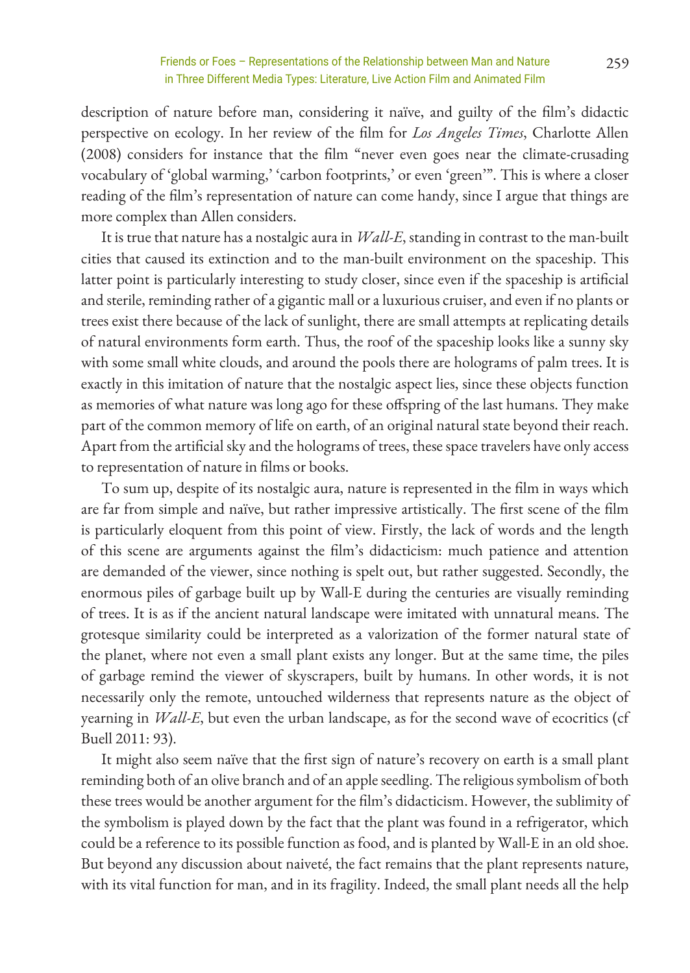description of nature before man, considering it naïve, and guilty of the film's didactic perspective on ecology. In her review of the film for *Los Angeles Times*, Charlotte Allen (2008) considers for instance that the film "never even goes near the climate-crusading vocabulary of 'global warming,' 'carbon footprints,' or even 'green'". This is where a closer reading of the film's representation of nature can come handy, since I argue that things are more complex than Allen considers.

It is true that nature has a nostalgic aura in *Wall-E*, standing in contrast to the man-built cities that caused its extinction and to the man-built environment on the spaceship. This latter point is particularly interesting to study closer, since even if the spaceship is artificial and sterile, reminding rather of a gigantic mall or a luxurious cruiser, and even if no plants or trees exist there because of the lack of sunlight, there are small attempts at replicating details of natural environments form earth. Thus, the roof of the spaceship looks like a sunny sky with some small white clouds, and around the pools there are holograms of palm trees. It is exactly in this imitation of nature that the nostalgic aspect lies, since these objects function as memories of what nature was long ago for these offspring of the last humans. They make part of the common memory of life on earth, of an original natural state beyond their reach. Apart from the artificial sky and the holograms of trees, these space travelers have only access to representation of nature in films or books.

To sum up, despite of its nostalgic aura, nature is represented in the film in ways which are far from simple and naïve, but rather impressive artistically. The first scene of the film is particularly eloquent from this point of view. Firstly, the lack of words and the length of this scene are arguments against the film's didacticism: much patience and attention are demanded of the viewer, since nothing is spelt out, but rather suggested. Secondly, the enormous piles of garbage built up by Wall-E during the centuries are visually reminding of trees. It is as if the ancient natural landscape were imitated with unnatural means. The grotesque similarity could be interpreted as a valorization of the former natural state of the planet, where not even a small plant exists any longer. But at the same time, the piles of garbage remind the viewer of skyscrapers, built by humans. In other words, it is not necessarily only the remote, untouched wilderness that represents nature as the object of yearning in *Wall-E*, but even the urban landscape, as for the second wave of ecocritics (cf Buell 2011: 93).

It might also seem naïve that the first sign of nature's recovery on earth is a small plant reminding both of an olive branch and of an apple seedling. The religious symbolism of both these trees would be another argument for the film's didacticism. However, the sublimity of the symbolism is played down by the fact that the plant was found in a refrigerator, which could be a reference to its possible function as food, and is planted by Wall-E in an old shoe. But beyond any discussion about naiveté, the fact remains that the plant represents nature, with its vital function for man, and in its fragility. Indeed, the small plant needs all the help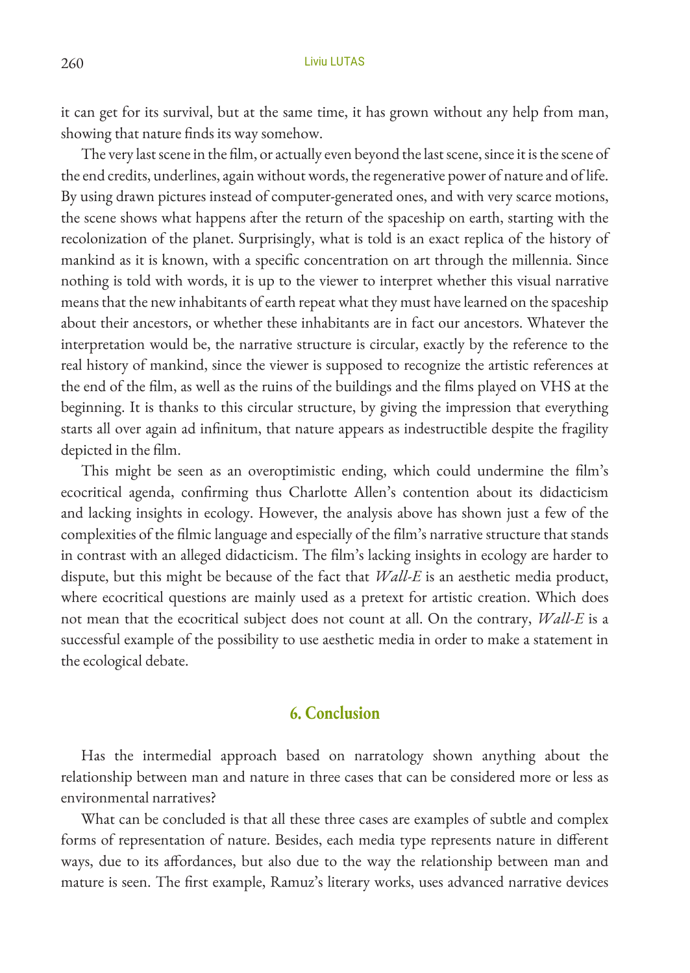it can get for its survival, but at the same time, it has grown without any help from man, showing that nature finds its way somehow.

The very last scene in the film, or actually even beyond the last scene, since it is the scene of the end credits, underlines, again without words, the regenerative power of nature and of life. By using drawn pictures instead of computer-generated ones, and with very scarce motions, the scene shows what happens after the return of the spaceship on earth, starting with the recolonization of the planet. Surprisingly, what is told is an exact replica of the history of mankind as it is known, with a specific concentration on art through the millennia. Since nothing is told with words, it is up to the viewer to interpret whether this visual narrative means that the new inhabitants of earth repeat what they must have learned on the spaceship about their ancestors, or whether these inhabitants are in fact our ancestors. Whatever the interpretation would be, the narrative structure is circular, exactly by the reference to the real history of mankind, since the viewer is supposed to recognize the artistic references at the end of the film, as well as the ruins of the buildings and the films played on VHS at the beginning. It is thanks to this circular structure, by giving the impression that everything starts all over again ad infinitum, that nature appears as indestructible despite the fragility depicted in the film.

This might be seen as an overoptimistic ending, which could undermine the film's ecocritical agenda, confirming thus Charlotte Allen's contention about its didacticism and lacking insights in ecology. However, the analysis above has shown just a few of the complexities of the filmic language and especially of the film's narrative structure that stands in contrast with an alleged didacticism. The film's lacking insights in ecology are harder to dispute, but this might be because of the fact that *Wall-E* is an aesthetic media product, where ecocritical questions are mainly used as a pretext for artistic creation. Which does not mean that the ecocritical subject does not count at all. On the contrary, *Wall-E* is a successful example of the possibility to use aesthetic media in order to make a statement in the ecological debate.

## **6. Conclusion**

Has the intermedial approach based on narratology shown anything about the relationship between man and nature in three cases that can be considered more or less as environmental narratives?

What can be concluded is that all these three cases are examples of subtle and complex forms of representation of nature. Besides, each media type represents nature in different ways, due to its affordances, but also due to the way the relationship between man and mature is seen. The first example, Ramuz's literary works, uses advanced narrative devices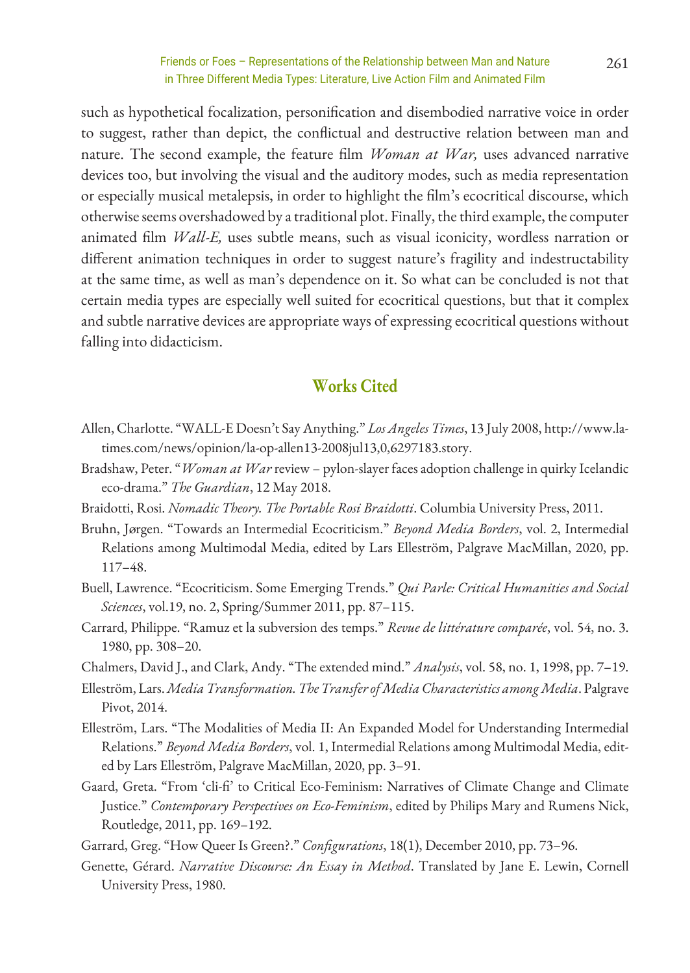Friends or Foes – Representations of the Relationship between Man and Nature  $261$ in Three Different Media Types: Literature, Live Action Film and Animated Film

such as hypothetical focalization, personification and disembodied narrative voice in order to suggest, rather than depict, the conflictual and destructive relation between man and nature. The second example, the feature film *Woman at War,* uses advanced narrative devices too, but involving the visual and the auditory modes, such as media representation or especially musical metalepsis, in order to highlight the film's ecocritical discourse, which otherwise seems overshadowed by a traditional plot. Finally, the third example, the computer animated film *Wall-E,* uses subtle means, such as visual iconicity, wordless narration or different animation techniques in order to suggest nature's fragility and indestructability at the same time, as well as man's dependence on it. So what can be concluded is not that certain media types are especially well suited for ecocritical questions, but that it complex and subtle narrative devices are appropriate ways of expressing ecocritical questions without falling into didacticism.

# **Works Cited**

- Allen, Charlotte. "WALL-E Doesn't Say Anything." *Los Angeles Times*, 13 July 2008, http://www.latimes.com/news/opinion/la-op-allen13-2008jul13,0,6297183.story.
- Bradshaw, Peter. "*Woman at War* review pylon-slayer faces adoption challenge in quirky Icelandic eco-drama." *The Guardian*, 12 May 2018.
- Braidotti, Rosi. *Nomadic Theory. The Portable Rosi Braidotti*. Columbia University Press, 2011.
- Bruhn, Jørgen. "Towards an Intermedial Ecocriticism." *Beyond Media Borders*, vol. 2, Intermedial Relations among Multimodal Media, edited by Lars Elleström, Palgrave MacMillan, 2020, pp. 117–48.
- Buell, Lawrence. "Ecocriticism. Some Emerging Trends." *Qui Parle: Critical Humanities and Social Sciences*, vol.19, no. 2, Spring/Summer 2011, pp. 87–115.
- Carrard, Philippe. "Ramuz et la subversion des temps." *Revue de littérature comparée*, vol. 54, no. 3. 1980, pp. 308–20.
- Chalmers, David J., and Clark, Andy. "The extended mind." *Analysis*, vol. 58, no. 1, 1998, pp. 7–19.
- Elleström, Lars. *Media Transformation. The Transfer of Media Characteristics among Media*. Palgrave Pivot, 2014.
- Elleström, Lars. "The Modalities of Media II: An Expanded Model for Understanding Intermedial Relations." *Beyond Media Borders*, vol. 1, Intermedial Relations among Multimodal Media, edited by Lars Elleström, Palgrave MacMillan, 2020, pp. 3–91.
- Gaard, Greta. "From 'cli-fi' to Critical Eco-Feminism: Narratives of Climate Change and Climate Justice." *Contemporary Perspectives on Eco-Feminism*, edited by Philips Mary and Rumens Nick, Routledge, 2011, pp. 169–192.
- Garrard, Greg. "How Queer Is Green?." *Configurations*, 18(1), December 2010, pp. 73–96.
- Genette, Gérard. *Narrative Discourse: An Essay in Method*. Translated by Jane E. Lewin, Cornell University Press, 1980.